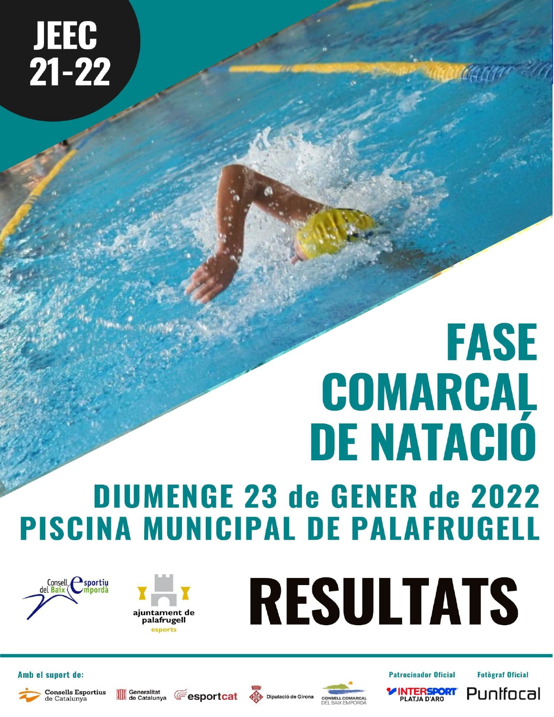**JEEC<br>21-22** 

# **FASE** COMARCAL **DE NATAGIÓ**

## **DIUMENGE 23 de GENER de 2022 PISCINA MUNICIPAL DE PALAFRUGELL**



de Catalunya





Amb el suport de:



**Exportcat Superior Section** 









**Fotograf Oficial** 

Punifocal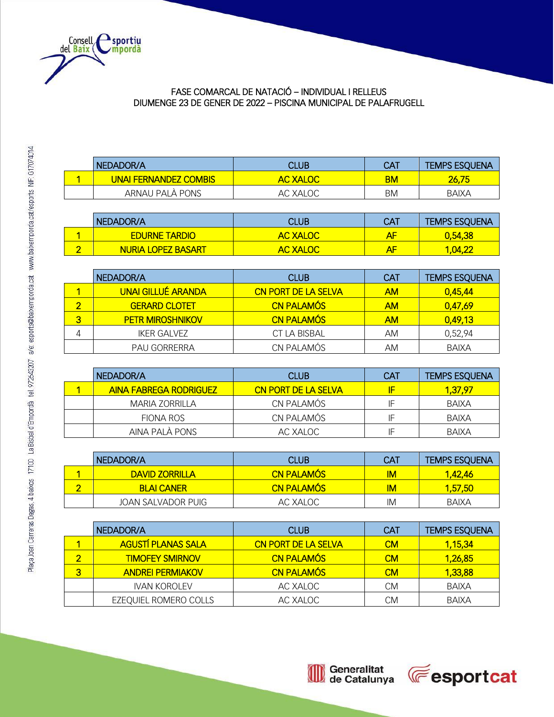

#### FASE COMARCAL DE NATACIÓ – INDIVIDUAL I RELLEUS DIUMENGE 23 DE GENER DE 2022 – PISCINA MUNICIPAL DE PALAFRUGELL

| NEDADOR/A                     | CLUB            | CA1 | <b>TEMPS ESQUENA</b> |
|-------------------------------|-----------------|-----|----------------------|
| <u>UNAI FERNANDEZ COMBISI</u> | <b>AC XALOC</b> | ВM  | 26.75                |
| ARNAU PALA PONS               | AC XALOC        | ΒM  | <b>BAIXA</b>         |

|   | NEDADOR/A                 | CLUB            | CA1 | <b>TEMPS ESQUENA</b> |
|---|---------------------------|-----------------|-----|----------------------|
|   | <b>EDURNE TARDIO</b>      | <b>AC XALOC</b> | АF  | 0,54,38              |
| ∽ | <b>NURIA LOPEZ BASART</b> | <b>AC XALOC</b> | АF  | 1.04.22              |

|   | NEDADOR/A                 | <b>CLUB</b>                | <b>CAT</b> | <b>TEMPS ESQUENA</b> |
|---|---------------------------|----------------------------|------------|----------------------|
|   | <b>UNAI GILLUÉ ARANDA</b> | <b>CN PORT DE LA SELVA</b> | <b>AM</b>  | 0,45,44              |
|   | <b>GERARD CLOTET</b>      | <b>CN PALAMÓS</b>          | <b>AM</b>  | 0,47,69              |
| З | <b>PETR MIROSHNIKOV</b>   | <b>CN PALAMÓS</b>          | <b>AM</b>  | 0,49,13              |
|   | IKER GALVEZ               | CT LA BISBAL               | AM         | 0,52,94              |
|   | PAU GORRERRA              | CN PALAMÓS                 | AM         | BAIXA                |

| I NEDADOR/A                   | <b>CLUB</b>                | <b>CAT</b> | <b>TEMPS ESQUENA</b> |
|-------------------------------|----------------------------|------------|----------------------|
| <b>AINA FABREGA RODRIGUEZ</b> | <b>CN PORT DE LA SELVA</b> | IF         | 1,37,97              |
| MARIA ZORRILLA                | CN PALAMÓS                 | ΙF         | BAIXA                |
| FIONA ROS                     | CN PALAMÓS                 | IF         | BAIXA                |
| AINA PALÀ PONS                | AC XALOC                   | IF         | BAIXA                |

| NEDADOR/A          | <b>CLUB</b>       | <b>CAT</b> | <b>TEMPS ESQUENA</b> |
|--------------------|-------------------|------------|----------------------|
| DAVID ZORRILLA     | <b>CN PALAMÓS</b> | ΙM         | 1.42.46              |
| <b>BLAI CANER</b>  | <b>CN PALAMÓS</b> | lМ         | 1,57,50              |
| JOAN SALVADOR PUIG | AC XALOC          | IM         | BAIXA                |

|   | NEDADOR/A                 | <b>CLUB</b>                | <b>CAT</b> | <b>TEMPS ESQUENA</b> |
|---|---------------------------|----------------------------|------------|----------------------|
|   | <b>AGUSTÍ PLANAS SALA</b> | <b>CN PORT DE LA SELVA</b> | <b>CM</b>  | 1,15,34              |
|   | <b>TIMOFEY SMIRNOV</b>    | <b>CN PALAMÓS</b>          | <b>CM</b>  | 1,26,85              |
| З | <b>ANDREI PERMIAKOV</b>   | <b>CN PALAMÓS</b>          | <b>CM</b>  | 1,33,88              |
|   | <b>IVAN KOROLEV</b>       | AC XALOC                   | <b>CM</b>  | BAIXA                |
|   | EZEQUIEL ROMERO COLLS     | AC XALOC                   | <b>CM</b>  | <b>BAIXA</b>         |



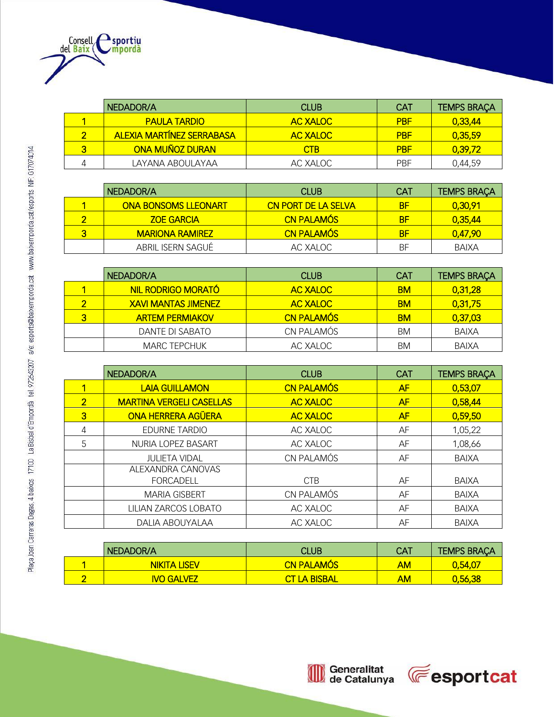

|   | NEDADOR/A                        | <b>CLUB</b>     | <b>CAT</b> | <b>TEMPS BRAÇA</b> |
|---|----------------------------------|-----------------|------------|--------------------|
|   | <b>PAULA TARDIO</b>              | <b>AC XALOC</b> | <b>PBF</b> | 0,33,44            |
|   | <b>ALEXIA MARTÍNEZ SERRABASA</b> | <b>AC XALOC</b> | <b>PBF</b> | 0,35,59            |
| з | <b>ONA MUÑOZ DURAN</b>           | <b>CTB</b>      | <b>PBF</b> | 0,39,72            |
|   | LAYANA ABOULAYAA                 | AC XALOC        | <b>PBF</b> | 0,44,59            |

|   | NEDADOR/A                   | <b>CLUB</b>                | <b>CAT</b> | <b>TEMPS BRAÇA</b> |
|---|-----------------------------|----------------------------|------------|--------------------|
|   | <b>ONA BONSOMS LLEONART</b> | <b>CN PORT DE LA SELVA</b> | ВF         | 0,30,91            |
| ◠ | <b>ZOE GARCIA</b>           | <b>CN PALAMÓS</b>          | ВF         | 0,35,44            |
| 3 | <b>MARIONA RAMIREZ</b>      | <b>CN PALAMÓS</b>          | ВF         | 0,47,90            |
|   | ABRIL ISERN SAGUÉ           | AC XALOC                   | ΒF         | BAIXA              |

|   | NEDADOR/A                  | <b>CLUB</b>       | <b>CAT</b> | <b>TEMPS BRAÇA</b> |
|---|----------------------------|-------------------|------------|--------------------|
|   | NIL RODRIGO MORATÓ         | <b>AC XALOC</b>   | <b>BM</b>  | 0,31,28            |
|   | <b>XAVI MANTAS JIMENEZ</b> | <b>AC XALOC</b>   | <b>BM</b>  | 0,31,75            |
| 3 | <b>ARTEM PERMIAKOV</b>     | <b>CN PALAMÓS</b> | <b>BM</b>  | 0,37,03            |
|   | DANTE DI SABATO            | CN PALAMÓS        | BM         | BAIXA              |
|   | <b>MARC TEPCHUK</b>        | AC XALOC          | BM         | BAIXA              |

|                | NEDADOR/A                             | <b>CLUB</b>       | <b>CAT</b> | <b>TEMPS BRAÇA</b> |
|----------------|---------------------------------------|-------------------|------------|--------------------|
|                | <b>LAIA GUILLAMON</b>                 | <b>CN PALAMÓS</b> | AF         | 0,53,07            |
| $\overline{2}$ | <b>MARTINA VERGELI CASELLAS</b>       | <b>AC XALOC</b>   | AF         | 0,58,44            |
| 3              | <b>ONA HERRERA AGÜERA</b>             | <b>AC XALOC</b>   | AF         | 0,59,50            |
| 4              | <b>EDURNE TARDIO</b>                  | AC XALOC          | AF         | 1,05,22            |
| 5              | NURIA LOPEZ BASART                    | AC XALOC          | AF         | 1,08,66            |
|                | <b>JULIETA VIDAL</b>                  | CN PALAMÓS        | AF         | <b>BAIXA</b>       |
|                | ALEXANDRA CANOVAS<br><b>FORCADELL</b> | <b>CTB</b>        | AF         | <b>BAIXA</b>       |
|                | <b>MARIA GISBERT</b>                  | CN PALAMÓS        | AF         | <b>BAIXA</b>       |
|                | LILIAN ZARCOS LOBATO                  | AC XALOC          | AF         | <b>BAIXA</b>       |
|                | DALIA ABOUYALAA                       | AC XALOC          | AF         | <b>BAIXA</b>       |

| NEDADOR/A           | <b>CLUB</b>          | <b>CAT</b> | <b>TEMPS BRACA</b> |
|---------------------|----------------------|------------|--------------------|
| <b>NIKITA LISEV</b> | <b>CN PALAMÓS</b>    | AM         | 0,54,07            |
| <b>IVO GALVEZ</b>   | <b>CT LA BISBALL</b> | AM         | 0,56,38            |

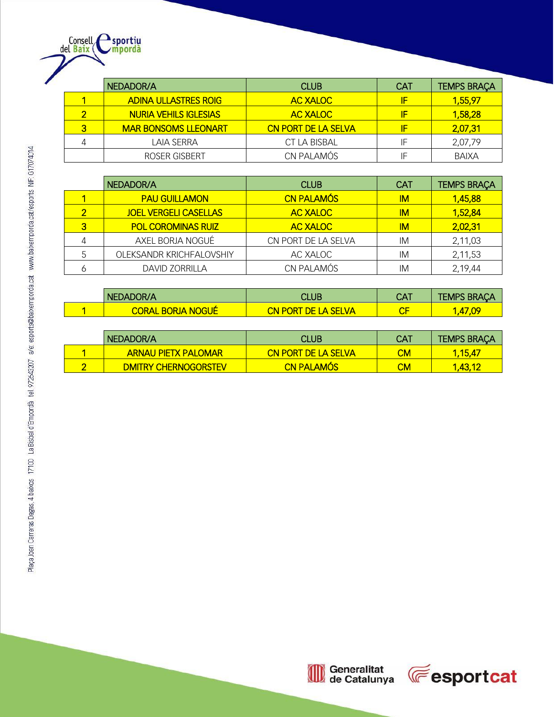

|   | NEDADOR/A                    | <b>CLUB</b>                | <b>CAT</b> | <b>TEMPS BRAÇA</b> |
|---|------------------------------|----------------------------|------------|--------------------|
|   | <b>ADINA ULLASTRES ROIG</b>  | <b>AC XALOC</b>            | IF         | 1,55,97            |
| ◠ | <b>NURIA VEHILS IGLESIAS</b> | <b>AC XALOC</b>            | IF         | 1,58,28            |
| 3 | <b>MAR BONSOMS LLEONART</b>  | <b>CN PORT DE LA SELVA</b> | IF         | 2,07,31            |
| 4 | LAIA SERRA                   | CT LA BISBAL               | IF         | 2,07,79            |
|   | ROSER GISBERT                | CN PALAMÓS                 | IF         | <b>BAIXA</b>       |

|   | NEDADOR/A                    | <b>CLUB</b>         | <b>CAT</b> | <b>TEMPS BRAÇA</b> |
|---|------------------------------|---------------------|------------|--------------------|
|   | <b>PAU GUILLAMON</b>         | <b>CN PALAMÓS</b>   | IМ         | 1,45,88            |
| ◠ | <b>JOEL VERGELI CASELLAS</b> | <b>AC XALOC</b>     | IМ         | 1,52,84            |
| 3 | <b>POL COROMINAS RUIZ</b>    | <b>AC XALOC</b>     | IM.        | 2,02,31            |
|   | AXEL BORJA NOGUÉ             | CN PORT DE LA SELVA | IM         | 2,11,03            |
|   | OLEKSANDR KRICHFALOVSHIY     | AC XALOC            | IM         | 2,11,53            |
|   | <b>DAVID ZORRILLA</b>        | CN PALAMÓS          | IM         | 2,19,44            |

| NEDADOR/A                | CLUB                | <b>CAT</b>             | <b>TEMPS BRAÇA</b> |
|--------------------------|---------------------|------------------------|--------------------|
| <b>CORAL BORJA NOGUÉ</b> | CN PORT DE LA SELVA | $\mathsf{C}\mathsf{F}$ | 1,47,09            |

| NEDADOR/A                   | CLUB                       | CA1 | <b>TEMPS BRAÇA</b> |
|-----------------------------|----------------------------|-----|--------------------|
| <b>ARNAU PIETX PALOMAR</b>  | <b>CN PORT DE LA SELVA</b> | CМ  | <u>1.15.47</u>     |
| <b>DMITRY CHERNOGORSTEV</b> | <b>CN PALAMOS</b>          | СM  | 1.43.12            |

I



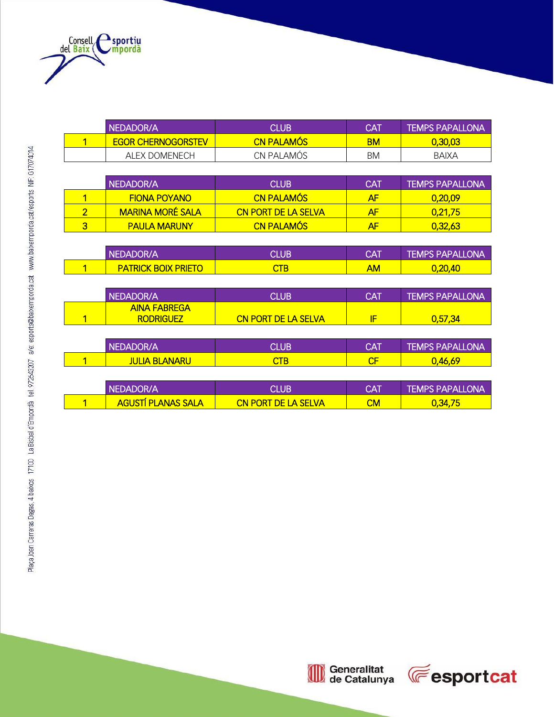

|                         | NEDADOR/A                               | <b>CLUB</b>                | <b>CAT</b> | <b>TEMPS PAPALLONA</b> |
|-------------------------|-----------------------------------------|----------------------------|------------|------------------------|
| $\mathbf{1}$            | <b>EGOR CHERNOGORSTEV</b>               | <b>CN PALAMÓS</b>          | <b>BM</b>  | 0,30,03                |
|                         | <b>ALEX DOMENECH</b>                    | CN PALAMÓS                 | BM         | <b>BAIXA</b>           |
|                         |                                         |                            |            |                        |
|                         | NEDADOR/A                               | <b>CLUB</b>                | <b>CAT</b> | <b>TEMPS PAPALLONA</b> |
| 1                       | <b>FIONA POYANO</b>                     | <b>CN PALAMÓS</b>          | AF         | 0,20,09                |
| $\overline{2}$          | <b>MARINA MORÉ SALA</b>                 | <b>CN PORT DE LA SELVA</b> | AF         | 0,21,75                |
| $\overline{3}$          | <b>PAULA MARUNY</b>                     | <b>CN PALAMÓS</b>          | AF         | 0,32,63                |
|                         |                                         |                            |            |                        |
|                         | NEDADOR/A                               | <b>CLUB</b>                | <b>CAT</b> | <b>TEMPS PAPALLONA</b> |
| 1                       | <b>PATRICK BOIX PRIETO</b>              | <b>CTB</b>                 | <b>AM</b>  | 0,20,40                |
|                         |                                         |                            |            |                        |
|                         | NEDADOR/A                               | <b>CLUB</b>                | <b>CAT</b> | <b>TEMPS PAPALLONA</b> |
| 1                       | <b>AINA FABREGA</b><br><b>RODRIGUEZ</b> | <b>CN PORT DE LA SELVA</b> | IF         | 0,57,34                |
|                         |                                         |                            |            |                        |
|                         | NEDADOR/A                               | <b>CLUB</b>                | <b>CAT</b> | <b>TEMPS PAPALLONA</b> |
| $\overline{\mathbf{1}}$ | <b>JULIA BLANARU</b>                    | <b>CTB</b>                 | CF         | 0,46,69                |
|                         |                                         |                            |            |                        |
|                         | NEDADOR/A                               | <b>CLUB</b>                | <b>CAT</b> | <b>TEMPS PAPALLONA</b> |
| 1                       | <b>AGUSTÍ PLANAS SALA</b>               | <b>CN PORT DE LA SELVA</b> | CM         | 0,34,75                |

| NFDADOR/A                 | CI UB'                     | <b>CAT</b> | <b>TEMPS PAPALLONA</b> |
|---------------------------|----------------------------|------------|------------------------|
| <b>AGUSTI PLANAS SALA</b> | <b>CN PORT DE LA SELVA</b> | СM         | 0,34,75                |

Generalitat<br>de Catalunya  $\textcircled{\tiny{1}}$ 

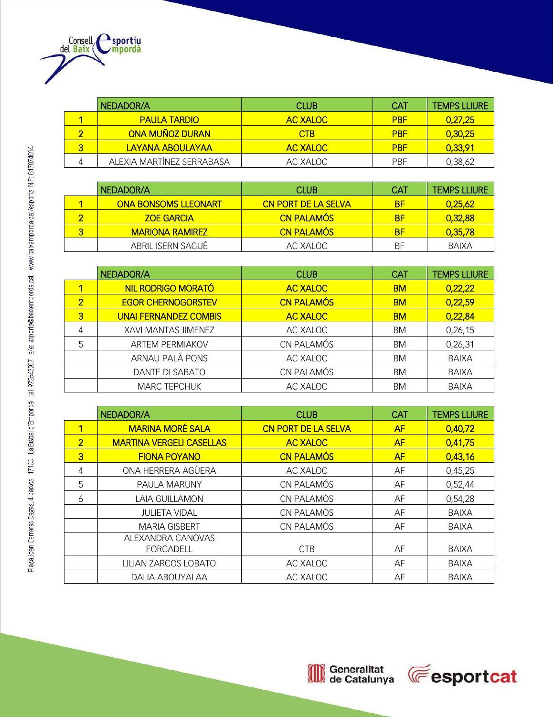

|   | NEDADOR/A                 | CLUB.           | CAT        | <b>TEMPS LLIURE</b> |
|---|---------------------------|-----------------|------------|---------------------|
|   | <b>PAULA TARDIO</b>       | AC XALOC        | <b>PRF</b> | 0,27,25             |
|   | <b>ONA MUÑOZ DURAN</b>    | <b>CTB</b>      | <b>PRF</b> | 0,30,25             |
| 3 | LAYANA ABOULAYAA          | <b>AC XALOC</b> | <b>PBF</b> | 0,33,91             |
| 4 | ALEXIA MARTÍNEZ SERRABASA | AC XALOC        | <b>PRF</b> | 0,38,62             |

|   | NEDADOR/A                   | CLUB.                      | <b>CAT</b> | <b>TEMPS LLIURE</b> |
|---|-----------------------------|----------------------------|------------|---------------------|
|   | <b>ONA BONSOMS LLEONART</b> | <b>CN PORT DE LA SELVA</b> | BF         | 0.25.62             |
|   | <b>ZOE GARCIA</b>           | <b>CN PALAMÓS</b>          | BF         | 0,32,88             |
| 3 | <b>MARIONA RAMIREZ</b>      | <b>CN PALAMÓS</b>          | <b>BF</b>  | 0,35,78             |
|   | ABRIL ISERN SAGUÉ           | AC XALOC                   | ΒF         | BAIXA               |

|                | NEDADOR/A                    | <b>CLUB</b>       | <b>CAT</b> | <b>TEMPS LLIURE</b> |
|----------------|------------------------------|-------------------|------------|---------------------|
|                | NIL RODRIGO MORATÓ           | <b>AC XALOC</b>   | <b>BM</b>  | 0,22,22             |
| $\overline{2}$ | <b>EGOR CHERNOGORSTEV</b>    | <b>CN PALAMÓS</b> | <b>BM</b>  | 0,22,59             |
| 3              | <b>UNAI FERNANDEZ COMBIS</b> | <b>AC XALOC</b>   | <b>BM</b>  | 0,22,84             |
| 4              | XAVI MANTAS JIMENEZ          | AC XALOC          | BM         | 0,26,15             |
| 5              | <b>ARTEM PERMIAKOV</b>       | CN PALAMÓS        | BM         | 0,26,31             |
|                | ARNAU PALÀ PONS              | AC XALOC          | BM         | <b>BAIXA</b>        |
|                | DANTE DI SABATO              | CN PALAMÓS        | BM         | <b>BAIXA</b>        |
|                | <b>MARC TEPCHUK</b>          | AC XALOC          | <b>BM</b>  | <b>BAIXA</b>        |

|                | NEDADOR/A                             | <b>CLUB</b>                | <b>CAT</b> | <b>TEMPS LLIURE</b> |
|----------------|---------------------------------------|----------------------------|------------|---------------------|
| 1              | <b>MARINA MORÉ SALA</b>               | <b>CN PORT DE LA SELVA</b> | AF         | 0,40,72             |
| $\overline{2}$ | <b>MARTINA VERGELI CASELLAS</b>       | <b>AC XALOC</b>            | AF         | 0,41,75             |
| $\overline{3}$ | <b>FIONA POYANO</b>                   | <b>CN PALAMÓS</b>          | AF         | 0,43,16             |
| $\overline{4}$ | ONA HERRERA AGÜERA                    | AC XALOC                   | AF         | 0,45,25             |
| 5              | PAULA MARUNY                          | CN PALAMÓS                 | AF         | 0,52,44             |
| 6              | LAIA GUILLAMON                        | CN PALAMÓS                 | AF         | 0,54,28             |
|                | <b>JULIETA VIDAL</b>                  | CN PALAMÓS                 | AF         | <b>BAIXA</b>        |
|                | <b>MARIA GISBERT</b>                  | CN PALAMÓS                 | AF         | <b>BAIXA</b>        |
|                | ALEXANDRA CANOVAS<br><b>FORCADELL</b> | <b>CTB</b>                 | AF         | <b>BAIXA</b>        |
|                | LILIAN ZARCOS LOBATO                  | AC XALOC                   | AF         | <b>BAIXA</b>        |
|                | <b>DALIA ABOUYALAA</b>                | AC XALOC                   | AF         | <b>BAIXA</b>        |

Generalitat<br>de Catalunya OD

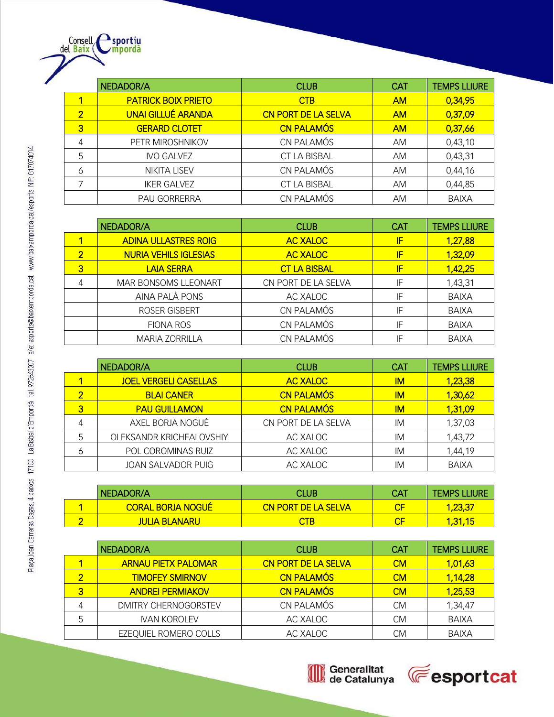|   | NEDADOR/A                  | <b>CLUB</b>                | <b>CAT</b> | <b>TEMPS LLIURE</b> |
|---|----------------------------|----------------------------|------------|---------------------|
|   | <b>PATRICK BOIX PRIETO</b> | <b>CTB</b>                 | <b>AM</b>  | 0,34,95             |
| 2 | <b>UNAI GILLUÉ ARANDA</b>  | <b>CN PORT DE LA SELVA</b> | <b>AM</b>  | 0,37,09             |
| 3 | <b>GERARD CLOTET</b>       | <b>CN PALAMÓS</b>          | <b>AM</b>  | 0,37,66             |
| 4 | PETR MIROSHNIKOV           | CN PALAMÓS                 | AM.        | 0,43,10             |
| 5 | <b>IVO GALVEZ</b>          | CT LA BISBAL               | AM.        | 0,43,31             |
| 6 | <b>NIKITA LISEV</b>        | CN PALAMÓS                 | AM         | 0,44,16             |
|   | <b>IKER GALVEZ</b>         | <b>CT LA BISBAL</b>        | AM.        | 0,44,85             |
|   | <b>PAU GORRERRA</b>        | CN PALAMÓS                 | AM         | <b>BAIXA</b>        |

|                | NEDADOR/A                    | <b>CLUB</b>         | <b>CAT</b> | <b>TEMPS LLIURE</b> |
|----------------|------------------------------|---------------------|------------|---------------------|
|                | <b>ADINA ULLASTRES ROIG</b>  | <b>AC XALOC</b>     | IF         | 1,27,88             |
| $\overline{2}$ | <b>NURIA VEHILS IGLESIAS</b> | <b>AC XALOC</b>     | IF         | 1,32,09             |
| 3              | <b>LAIA SERRA</b>            | <b>CT LA BISBAL</b> | IF         | 1,42,25             |
| 4              | <b>MAR BONSOMS LLEONART</b>  | CN PORT DE LA SELVA | IF         | 1,43,31             |
|                | AINA PALÀ PONS               | AC XALOC            | IF         | <b>BAIXA</b>        |
|                | ROSER GISBERT                | CN PALAMÓS          | IF         | <b>BAIXA</b>        |
|                | <b>FIONA ROS</b>             | CN PALAMÓS          | IF         | <b>BAIXA</b>        |
|                | <b>MARIA ZORRILLA</b>        | CN PALAMÓS          | IF         | <b>BAIXA</b>        |

|   | NEDADOR/A                    | <b>CLUB</b>         | <b>CAT</b> | <b>TEMPS LLIURE</b> |
|---|------------------------------|---------------------|------------|---------------------|
|   | <b>JOEL VERGELI CASELLAS</b> | <b>AC XALOC</b>     | IM.        | 1,23,38             |
|   | <b>BLAI CANER</b>            | <b>CN PALAMÓS</b>   | IM.        | 1,30,62             |
| 3 | <b>PAU GUILLAMON</b>         | <b>CN PALAMÓS</b>   | IМ         | 1,31,09             |
| 4 | AXEL BORJA NOGUÉ             | CN PORT DE LA SELVA | IM         | 1,37,03             |
| 5 | OLEKSANDR KRICHFALOVSHIY     | AC XALOC            | IM         | 1,43,72             |
| 6 | POL COROMINAS RUIZ           | AC XALOC            | IM         | 1,44,19             |
|   | <b>JOAN SALVADOR PUIG</b>    | AC XALOC            | IM         | BAIXA               |

|   | I NEDADOR/A              | CLUB                       | <b>CAT</b> | <b>TEMPS LLIURE</b> |
|---|--------------------------|----------------------------|------------|---------------------|
|   | <b>CORAL BORJA NOGUÉ</b> | <b>CN PORT DE LA SELVA</b> |            | 1.23.37             |
| ⌒ | <b>JULIA BLANARU</b>     | <b>CTB</b>                 |            | <u>1,31,15</u>      |

|                         | NEDADOR/A                  | <b>CLUB</b>                | CAT       | <b>TEMPS LLIURE</b> |
|-------------------------|----------------------------|----------------------------|-----------|---------------------|
|                         | <b>ARNAU PIETX PALOMAR</b> | <b>CN PORT DE LA SELVA</b> | <b>CM</b> | 1,01,63             |
| $\overline{\mathbf{2}}$ | <b>TIMOFEY SMIRNOV</b>     | <b>CN PALAMÓS</b>          | <b>CM</b> | 1,14,28             |
| 3                       | <b>ANDREI PERMIAKOV</b>    | <b>CN PALAMÓS</b>          | <b>CM</b> | 1,25,53             |
|                         | DMITRY CHERNOGORSTEV       | CN PALAMÓS                 | <b>CM</b> | 1,34,47             |
|                         | <b>IVAN KOROLEV</b>        | AC XALOC                   | <b>CM</b> | <b>BAIXA</b>        |
|                         | EZEQUIEL ROMERO COLLS      | AC XALOC                   | СM        | <b>BAIXA</b>        |

Generalitat<br>de Catalunya  $\textcircled{\tiny{1}}$ 



Consell esportiu